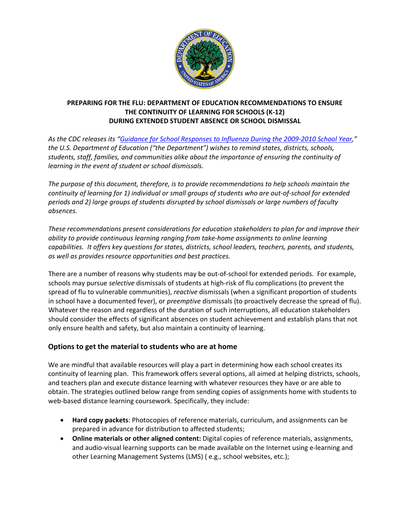

# **PREPARING FOR THE FLU: DEPARTMENT OF EDUCATION RECOMMENDATIONS TO ENSURE THE CONTINUITY OF LEARNING FOR SCHOOLS (K‐12) DURING EXTENDED STUDENT ABSENCE OR SCHOOL DISMISSAL**

As the CDC releases its "Guidance for School [Responses](http://www.flu.gov/plan/school/schoolguidance.html) to Influenza During the 2009-2010 School Year," *the U.S. Department of Education ("the Department") wishes to remind states, districts, schools, students, staff, families, and communities alike about the importance of ensuring the continuity of learning in the event of student or school dismissals.*

*The purpose of this document, therefore, is to provide recommendations to help schools maintain the* continuity of learning for 1) individual or small groups of students who are out-of-school for extended *periods and 2) large groups of students disrupted by school dismissals or large numbers of faculty absences.* 

*These recommendations present considerations for education stakeholders to plan for and improve their ability to provide continuous learning ranging from take‐home assignments to online learning capabilities. It offers key questions for states, districts, school leaders, teachers, parents, and students, as well as provides resource opportunities and best practices.* 

There are a number of reasons why students may be out‐of‐school for extended periods. For example, schools may pursue *selective* dismissals of students at high‐risk of flu complications (to prevent the spread of flu to vulnerable communities), *reactive* dismissals (when a significant proportion of students in school have a documented fever), or *preemptive* dismissals (to proactively decrease the spread of flu). Whatever the reason and regardless of the duration of such interruptions, all education stakeholders should consider the effects of significant absences on student achievement and establish plans that not only ensure health and safety, but also maintain a continuity of learning.

# **Options to get the material to students who are at home**

We are mindful that available resources will play a part in determining how each school creates its continuity of learning plan. This framework offers several options, all aimed at helping districts, schools, and teachers plan and execute distance learning with whatever resources they have or are able to obtain. The strategies outlined below range from sending copies of assignments home with students to web-based distance learning coursework. Specifically, they include:

- **Hard copy packets**: Photocopies of reference materials, curriculum, and assignments can be prepared in advance for distribution to affected students;
- **Online materials or other aligned content:** Digital copies of reference materials, assignments, and audio‐visual learning supports can be made available on the Internet using e‐learning and other Learning Management Systems (LMS) ( e.g., school websites, etc.);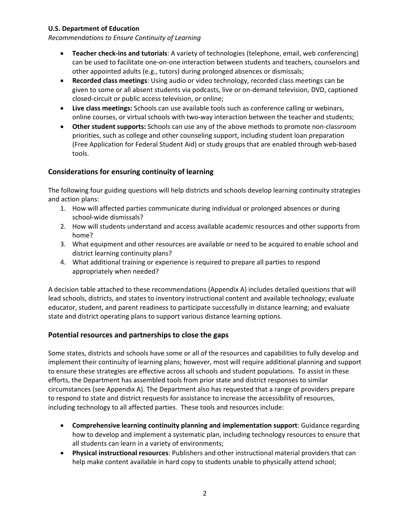*Recommendations to Ensure Continuity of Learning*

- **Teacher check‐ins and tutorials**: A variety of technologies (telephone, email, web conferencing) can be used to facilitate one‐on‐one interaction between students and teachers, counselors and other appointed adults (e.g., tutors) during prolonged absences or dismissals;
- **Recorded class meetings**: Using audio or video technology, recorded class meetings can be given to some or all absent students via podcasts, live or on‐demand television, DVD, captioned closed‐circuit or public access television, or online;
- **Live class meetings:** Schools can use available tools such as conference calling or webinars, online courses, or virtual schools with two-way interaction between the teacher and students;
- **Other student supports:** Schools can use any of the above methods to promote non‐classroom priorities, such as college and other counseling support, including student loan preparation (Free Application for Federal Student Aid) or study groups that are enabled through web‐based tools.

# **Considerations for ensuring continuity of learning**

The following four guiding questions will help districts and schools develop learning continuity strategies and action plans:

- 1. How will affected parties communicate during individual or prolonged absences or during school‐wide dismissals?
- 2. How will students understand and access available academic resources and other supports from home?
- 3. What equipment and other resources are available or need to be acquired to enable school and district learning continuity plans?
- 4. What additional training or experience is required to prepare all parties to respond appropriately when needed?

A decision table attached to these recommendations (Appendix A) includes detailed questions that will lead schools, districts, and states to inventory instructional content and available technology; evaluate educator, student, and parent readiness to participate successfully in distance learning; and evaluate state and district operating plans to support various distance learning options.

# **Potential resources and partnerships to close the gaps**

Some states, districts and schools have some or all of the resources and capabilities to fully develop and implement their continuity of learning plans; however, most will require additional planning and support to ensure these strategies are effective across all schools and student populations. To assist in these efforts, the Department has assembled tools from prior state and district responses to similar circumstances (see Appendix A). The Department also has requested that a range of providers prepare to respond to state and district requests for assistance to increase the accessibility of resources, including technology to all affected parties. These tools and resources include:

- **Comprehensive learning continuity planning and implementation support**: Guidance regarding how to develop and implement a systematic plan, including technology resources to ensure that all students can learn in a variety of environments;
- **Physical instructional resources**: Publishers and other instructional material providers that can help make content available in hard copy to students unable to physically attend school;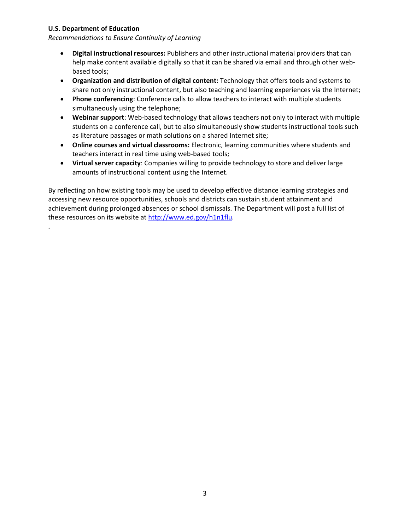.

*Recommendations to Ensure Continuity of Learning*

- **Digital instructional resources:** Publishers and other instructional material providers that can help make content available digitally so that it can be shared via email and through other webbased tools;
- **Organization and distribution of digital content:** Technology that offers tools and systems to share not only instructional content, but also teaching and learning experiences via the Internet;
- **Phone conferencing**: Conference calls to allow teachers to interact with multiple students simultaneously using the telephone;
- **Webinar support**: Web‐based technology that allows teachers not only to interact with multiple students on a conference call, but to also simultaneously show students instructional tools such as literature passages or math solutions on a shared Internet site;
- **Online courses and virtual classrooms:** Electronic, learning communities where students and teachers interact in real time using web-based tools;
- **Virtual server capacity**: Companies willing to provide technology to store and deliver large amounts of instructional content using the Internet.

By reflecting on how existing tools may be used to develop effective distance learning strategies and accessing new resource opportunities, schools and districts can sustain student attainment and achievement during prolonged absences or school dismissals. The Department will post a full list of these resources on its website at [http://www.ed.gov/h1n1flu.](http://www.ed.gov/h1n1flu)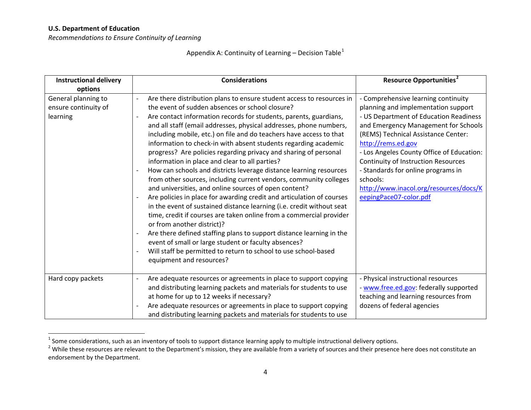*Recommendations to Ensure Continuity of Learning*

# Appendix A: Continuity of Learning – Decision Table<sup>[1](#page-3-0)</sup>

| <b>Instructional delivery</b><br>options                | <b>Considerations</b>                                                                                                                                                                                                                                                                                                                                                                                                                                                                                                                                                                                                                                                                                                                                                                                                                                                                                                                                                                                                                                                                                                                                                                                                                                     | <b>Resource Opportunities<sup>2</sup></b>                                                                                                                                                                                                                                                                                                                                                                                           |
|---------------------------------------------------------|-----------------------------------------------------------------------------------------------------------------------------------------------------------------------------------------------------------------------------------------------------------------------------------------------------------------------------------------------------------------------------------------------------------------------------------------------------------------------------------------------------------------------------------------------------------------------------------------------------------------------------------------------------------------------------------------------------------------------------------------------------------------------------------------------------------------------------------------------------------------------------------------------------------------------------------------------------------------------------------------------------------------------------------------------------------------------------------------------------------------------------------------------------------------------------------------------------------------------------------------------------------|-------------------------------------------------------------------------------------------------------------------------------------------------------------------------------------------------------------------------------------------------------------------------------------------------------------------------------------------------------------------------------------------------------------------------------------|
| General planning to<br>ensure continuity of<br>learning | Are there distribution plans to ensure student access to resources in<br>the event of sudden absences or school closure?<br>Are contact information records for students, parents, guardians,<br>$\overline{\phantom{a}}$<br>and all staff (email addresses, physical addresses, phone numbers,<br>including mobile, etc.) on file and do teachers have access to that<br>information to check-in with absent students regarding academic<br>progress? Are policies regarding privacy and sharing of personal<br>information in place and clear to all parties?<br>How can schools and districts leverage distance learning resources<br>from other sources, including current vendors, community colleges<br>and universities, and online sources of open content?<br>Are policies in place for awarding credit and articulation of courses<br>in the event of sustained distance learning (i.e. credit without seat<br>time, credit if courses are taken online from a commercial provider<br>or from another district)?<br>Are there defined staffing plans to support distance learning in the<br>event of small or large student or faculty absences?<br>Will staff be permitted to return to school to use school-based<br>equipment and resources? | - Comprehensive learning continuity<br>planning and implementation support<br>- US Department of Education Readiness<br>and Emergency Management for Schools<br>(REMS) Technical Assistance Center:<br>http://rems.ed.gov<br>- Los Angeles County Office of Education:<br>Continuity of Instruction Resources<br>- Standards for online programs in<br>schools:<br>http://www.inacol.org/resources/docs/K<br>eepingPace07-color.pdf |
| Hard copy packets                                       | Are adequate resources or agreements in place to support copying<br>$\overline{\phantom{a}}$<br>and distributing learning packets and materials for students to use<br>at home for up to 12 weeks if necessary?<br>Are adequate resources or agreements in place to support copying<br>and distributing learning packets and materials for students to use                                                                                                                                                                                                                                                                                                                                                                                                                                                                                                                                                                                                                                                                                                                                                                                                                                                                                                | - Physical instructional resources<br>- www.free.ed.gov: federally supported<br>teaching and learning resources from<br>dozens of federal agencies                                                                                                                                                                                                                                                                                  |

<span id="page-3-1"></span><span id="page-3-0"></span>

 $^1$  Some considerations, such as an inventory of tools to support distance learning apply to multiple instructional delivery options.<br><sup>2</sup> While these resources are relevant to the Department's mission, they are available endorsement by the Department.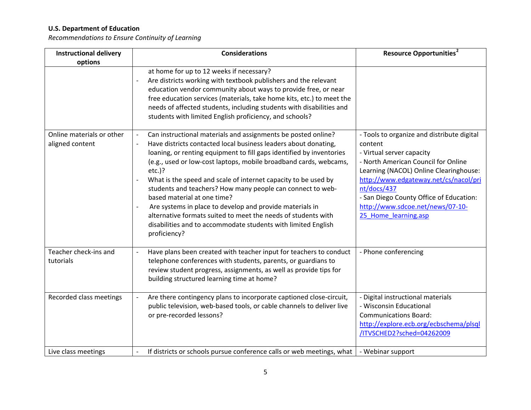*Recommendations to Ensure Continuity of Learning*

| <b>Instructional delivery</b>                | <b>Considerations</b>                                                                                                                                                                                                                                                                                                                                                                                                                                                                                                                                                                                                                                                                               | <b>Resource Opportunities<sup>2</sup></b>                                                                                                                                                                                                                                                                                          |
|----------------------------------------------|-----------------------------------------------------------------------------------------------------------------------------------------------------------------------------------------------------------------------------------------------------------------------------------------------------------------------------------------------------------------------------------------------------------------------------------------------------------------------------------------------------------------------------------------------------------------------------------------------------------------------------------------------------------------------------------------------------|------------------------------------------------------------------------------------------------------------------------------------------------------------------------------------------------------------------------------------------------------------------------------------------------------------------------------------|
| options                                      |                                                                                                                                                                                                                                                                                                                                                                                                                                                                                                                                                                                                                                                                                                     |                                                                                                                                                                                                                                                                                                                                    |
|                                              | at home for up to 12 weeks if necessary?<br>Are districts working with textbook publishers and the relevant<br>education vendor community about ways to provide free, or near<br>free education services (materials, take home kits, etc.) to meet the<br>needs of affected students, including students with disabilities and<br>students with limited English proficiency, and schools?                                                                                                                                                                                                                                                                                                           |                                                                                                                                                                                                                                                                                                                                    |
| Online materials or other<br>aligned content | Can instructional materials and assignments be posted online?<br>Have districts contacted local business leaders about donating,<br>loaning, or renting equipment to fill gaps identified by inventories<br>(e.g., used or low-cost laptops, mobile broadband cards, webcams,<br>$etc.$ )?<br>What is the speed and scale of internet capacity to be used by<br>$\overline{\phantom{a}}$<br>students and teachers? How many people can connect to web-<br>based material at one time?<br>Are systems in place to develop and provide materials in<br>alternative formats suited to meet the needs of students with<br>disabilities and to accommodate students with limited English<br>proficiency? | - Tools to organize and distribute digital<br>content<br>- Virtual server capacity<br>- North American Council for Online<br>Learning (NACOL) Online Clearinghouse:<br>http://www.edgateway.net/cs/nacol/pri<br>nt/docs/437<br>- San Diego County Office of Education:<br>http://www.sdcoe.net/news/07-10-<br>25_Home_learning.asp |
| Teacher check-ins and<br>tutorials           | Have plans been created with teacher input for teachers to conduct<br>telephone conferences with students, parents, or guardians to<br>review student progress, assignments, as well as provide tips for<br>building structured learning time at home?                                                                                                                                                                                                                                                                                                                                                                                                                                              | - Phone conferencing                                                                                                                                                                                                                                                                                                               |
| Recorded class meetings                      | Are there contingency plans to incorporate captioned close-circuit,<br>public television, web-based tools, or cable channels to deliver live<br>or pre-recorded lessons?                                                                                                                                                                                                                                                                                                                                                                                                                                                                                                                            | - Digital instructional materials<br>- Wisconsin Educational<br><b>Communications Board:</b><br>http://explore.ecb.org/ecbschema/plsql<br>/ITVSCHED2?sched=04262009                                                                                                                                                                |
| Live class meetings                          | If districts or schools pursue conference calls or web meetings, what                                                                                                                                                                                                                                                                                                                                                                                                                                                                                                                                                                                                                               | - Webinar support                                                                                                                                                                                                                                                                                                                  |